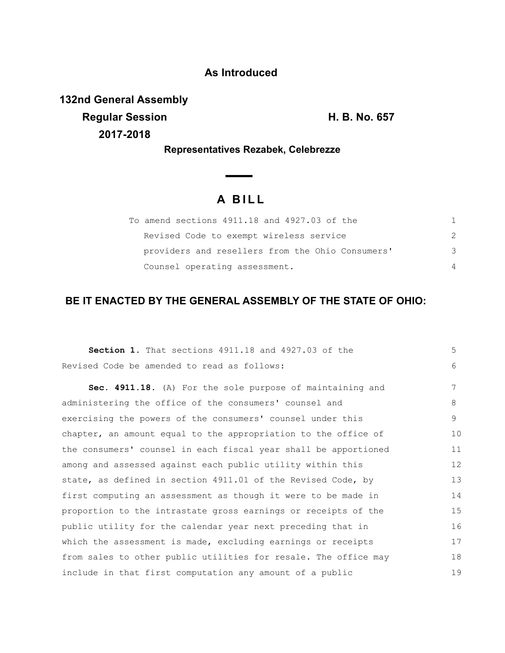### **As Introduced**

**132nd General Assembly Regular Session H. B. No. 657 2017-2018**

**Representatives Rezabek, Celebrezze**

 $\overline{\phantom{0}}$ 

# **A B I L L**

| To amend sections 4911.18 and 4927.03 of the     |                |
|--------------------------------------------------|----------------|
| Revised Code to exempt wireless service          |                |
| providers and resellers from the Ohio Consumers' | 3              |
| Counsel operating assessment.                    | $\overline{4}$ |

## **BE IT ENACTED BY THE GENERAL ASSEMBLY OF THE STATE OF OHIO:**

| Section 1. That sections 4911.18 and 4927.03 of the             | 5  |
|-----------------------------------------------------------------|----|
| Revised Code be amended to read as follows:                     | 6  |
| Sec. 4911.18. (A) For the sole purpose of maintaining and       | 7  |
| administering the office of the consumers' counsel and          | 8  |
| exercising the powers of the consumers' counsel under this      | 9  |
| chapter, an amount equal to the appropriation to the office of  | 10 |
| the consumers' counsel in each fiscal year shall be apportioned | 11 |
| among and assessed against each public utility within this      | 12 |
| state, as defined in section 4911.01 of the Revised Code, by    | 13 |
| first computing an assessment as though it were to be made in   | 14 |
| proportion to the intrastate gross earnings or receipts of the  | 15 |
| public utility for the calendar year next preceding that in     | 16 |
| which the assessment is made, excluding earnings or receipts    | 17 |
| from sales to other public utilities for resale. The office may | 18 |
| include in that first computation any amount of a public        | 19 |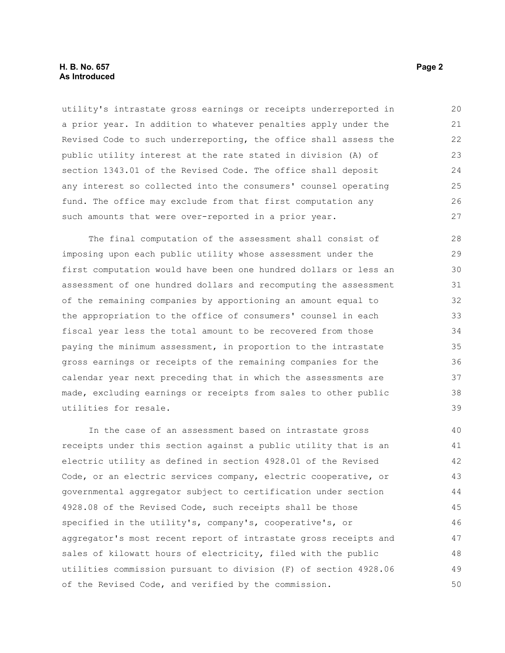#### **H. B. No. 657 Page 2 As Introduced**

utility's intrastate gross earnings or receipts underreported in a prior year. In addition to whatever penalties apply under the Revised Code to such underreporting, the office shall assess the public utility interest at the rate stated in division (A) of section 1343.01 of the Revised Code. The office shall deposit any interest so collected into the consumers' counsel operating fund. The office may exclude from that first computation any such amounts that were over-reported in a prior year. 20 21 22 23 24 25 26 27

The final computation of the assessment shall consist of imposing upon each public utility whose assessment under the first computation would have been one hundred dollars or less an assessment of one hundred dollars and recomputing the assessment of the remaining companies by apportioning an amount equal to the appropriation to the office of consumers' counsel in each fiscal year less the total amount to be recovered from those paying the minimum assessment, in proportion to the intrastate gross earnings or receipts of the remaining companies for the calendar year next preceding that in which the assessments are made, excluding earnings or receipts from sales to other public utilities for resale.

In the case of an assessment based on intrastate gross receipts under this section against a public utility that is an electric utility as defined in section 4928.01 of the Revised Code, or an electric services company, electric cooperative, or governmental aggregator subject to certification under section 4928.08 of the Revised Code, such receipts shall be those specified in the utility's, company's, cooperative's, or aggregator's most recent report of intrastate gross receipts and sales of kilowatt hours of electricity, filed with the public utilities commission pursuant to division (F) of section 4928.06 of the Revised Code, and verified by the commission. 40 41 42 43 44 45 46 47 48 49 50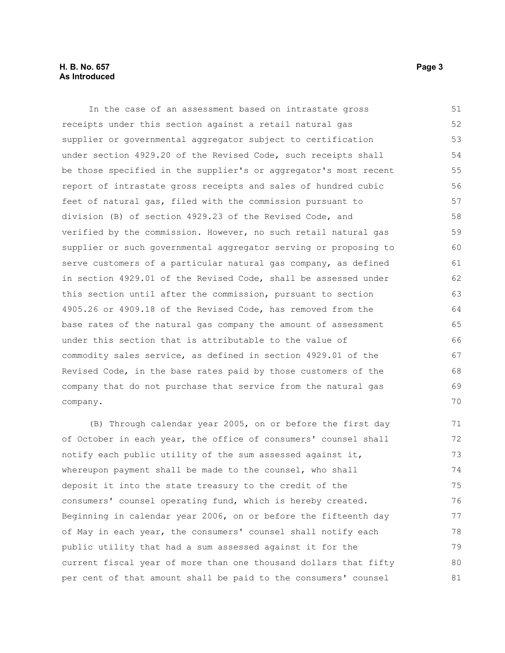#### **H. B. No. 657 Page 3 As Introduced**

In the case of an assessment based on intrastate gross receipts under this section against a retail natural gas supplier or governmental aggregator subject to certification under section 4929.20 of the Revised Code, such receipts shall be those specified in the supplier's or aggregator's most recent report of intrastate gross receipts and sales of hundred cubic feet of natural gas, filed with the commission pursuant to division (B) of section 4929.23 of the Revised Code, and verified by the commission. However, no such retail natural gas supplier or such governmental aggregator serving or proposing to serve customers of a particular natural gas company, as defined in section 4929.01 of the Revised Code, shall be assessed under this section until after the commission, pursuant to section 4905.26 or 4909.18 of the Revised Code, has removed from the base rates of the natural gas company the amount of assessment under this section that is attributable to the value of commodity sales service, as defined in section 4929.01 of the Revised Code, in the base rates paid by those customers of the company that do not purchase that service from the natural gas company. 51 52 53 54 55 56 57 58 59 60 61 62 63 64 65 66 67 68 69 70

(B) Through calendar year 2005, on or before the first day of October in each year, the office of consumers' counsel shall notify each public utility of the sum assessed against it, whereupon payment shall be made to the counsel, who shall deposit it into the state treasury to the credit of the consumers' counsel operating fund, which is hereby created. Beginning in calendar year 2006, on or before the fifteenth day of May in each year, the consumers' counsel shall notify each public utility that had a sum assessed against it for the current fiscal year of more than one thousand dollars that fifty per cent of that amount shall be paid to the consumers' counsel 71 72 73 74 75 76 77 78 79 80 81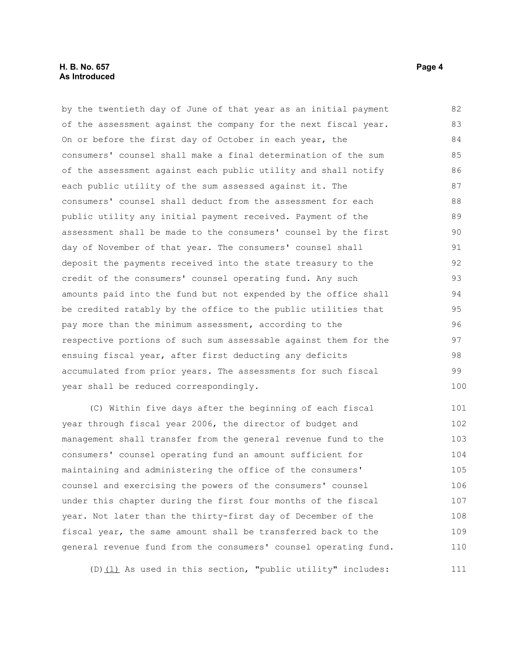by the twentieth day of June of that year as an initial payment of the assessment against the company for the next fiscal year. On or before the first day of October in each year, the consumers' counsel shall make a final determination of the sum of the assessment against each public utility and shall notify each public utility of the sum assessed against it. The consumers' counsel shall deduct from the assessment for each public utility any initial payment received. Payment of the assessment shall be made to the consumers' counsel by the first day of November of that year. The consumers' counsel shall deposit the payments received into the state treasury to the credit of the consumers' counsel operating fund. Any such amounts paid into the fund but not expended by the office shall be credited ratably by the office to the public utilities that pay more than the minimum assessment, according to the respective portions of such sum assessable against them for the ensuing fiscal year, after first deducting any deficits accumulated from prior years. The assessments for such fiscal year shall be reduced correspondingly. 82 83 84 85 86 87 88 89 90 91 92 93 94 95 96 97 98 99 100

(C) Within five days after the beginning of each fiscal year through fiscal year 2006, the director of budget and management shall transfer from the general revenue fund to the consumers' counsel operating fund an amount sufficient for maintaining and administering the office of the consumers' counsel and exercising the powers of the consumers' counsel under this chapter during the first four months of the fiscal year. Not later than the thirty-first day of December of the fiscal year, the same amount shall be transferred back to the general revenue fund from the consumers' counsel operating fund. 101 102 103 104 105 106 107 108 109 110

(D)(1) As used in this section, "public utility" includes: 111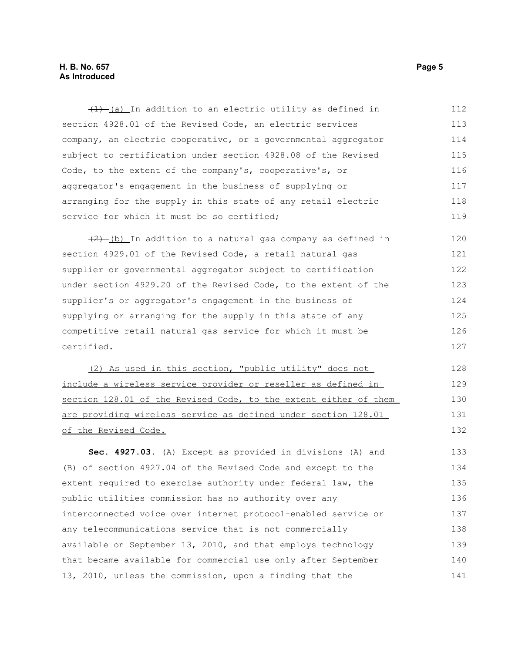#### **H. B. No. 657 Page 5 As Introduced**

 $(1)$  (a) In addition to an electric utility as defined in section 4928.01 of the Revised Code, an electric services company, an electric cooperative, or a governmental aggregator subject to certification under section 4928.08 of the Revised Code, to the extent of the company's, cooperative's, or aggregator's engagement in the business of supplying or arranging for the supply in this state of any retail electric service for which it must be so certified; 112 113 114 115 116 117 118 119

 $(2)$  (b) In addition to a natural gas company as defined in section 4929.01 of the Revised Code, a retail natural gas supplier or governmental aggregator subject to certification under section 4929.20 of the Revised Code, to the extent of the supplier's or aggregator's engagement in the business of supplying or arranging for the supply in this state of any competitive retail natural gas service for which it must be certified. 120 121 122 123 124 125 126 127

(2) As used in this section, "public utility" does not include a wireless service provider or reseller as defined in section 128.01 of the Revised Code, to the extent either of them are providing wireless service as defined under section 128.01 of the Revised Code.

**Sec. 4927.03.** (A) Except as provided in divisions (A) and (B) of section 4927.04 of the Revised Code and except to the extent required to exercise authority under federal law, the public utilities commission has no authority over any interconnected voice over internet protocol-enabled service or any telecommunications service that is not commercially available on September 13, 2010, and that employs technology that became available for commercial use only after September 13, 2010, unless the commission, upon a finding that the 133 134 135 136 137 138 139 140 141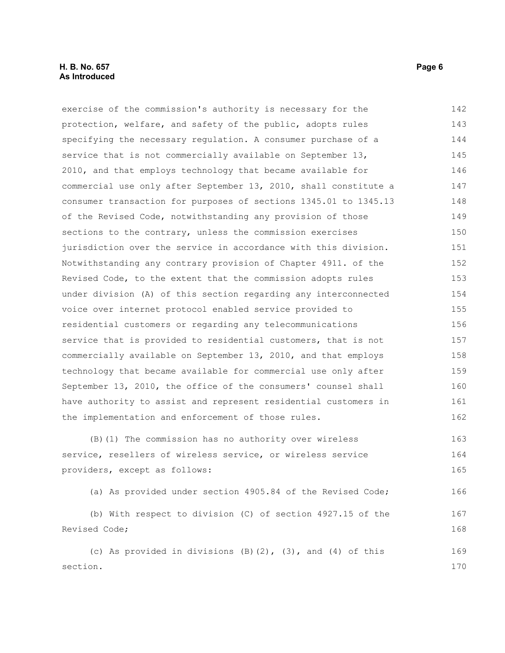#### **H. B. No. 657 Page 6 As Introduced**

exercise of the commission's authority is necessary for the protection, welfare, and safety of the public, adopts rules specifying the necessary regulation. A consumer purchase of a service that is not commercially available on September 13, 2010, and that employs technology that became available for commercial use only after September 13, 2010, shall constitute a consumer transaction for purposes of sections 1345.01 to 1345.13 of the Revised Code, notwithstanding any provision of those sections to the contrary, unless the commission exercises jurisdiction over the service in accordance with this division. Notwithstanding any contrary provision of Chapter 4911. of the Revised Code, to the extent that the commission adopts rules under division (A) of this section regarding any interconnected voice over internet protocol enabled service provided to residential customers or regarding any telecommunications service that is provided to residential customers, that is not commercially available on September 13, 2010, and that employs technology that became available for commercial use only after September 13, 2010, the office of the consumers' counsel shall have authority to assist and represent residential customers in the implementation and enforcement of those rules. (B)(1) The commission has no authority over wireless service, resellers of wireless service, or wireless service providers, except as follows: 142 143 144 145 146 147 148 149 150 151 152 153 154 155 156 157 158 159 160 161 162 163 164 165

(a) As provided under section 4905.84 of the Revised Code;

(b) With respect to division (C) of section 4927.15 of the Revised Code; 167 168

(c) As provided in divisions (B)(2), (3), and (4) of this section. 169 170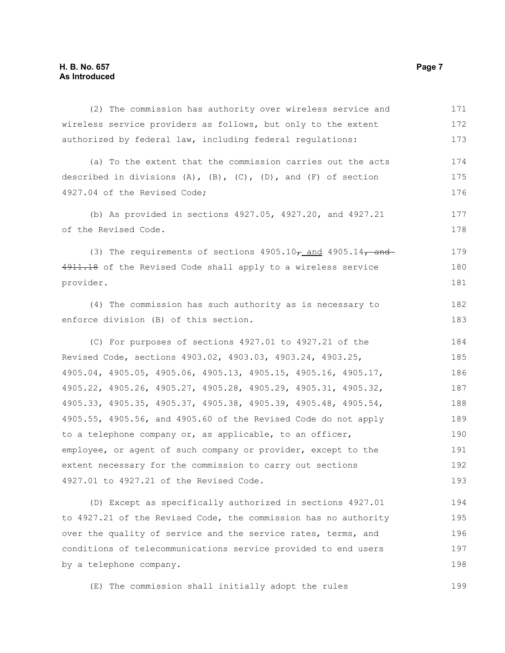| (2) The commission has authority over wireless service and                  | 171 |
|-----------------------------------------------------------------------------|-----|
| wireless service providers as follows, but only to the extent               | 172 |
| authorized by federal law, including federal regulations:                   | 173 |
| (a) To the extent that the commission carries out the acts                  | 174 |
| described in divisions $(A)$ , $(B)$ , $(C)$ , $(D)$ , and $(F)$ of section | 175 |
| 4927.04 of the Revised Code;                                                | 176 |
| (b) As provided in sections 4927.05, 4927.20, and 4927.21                   | 177 |
| of the Revised Code.                                                        | 178 |
| (3) The requirements of sections $4905.10\tau$ and $4905.14\tau$ and        | 179 |
| 4911.18 of the Revised Code shall apply to a wireless service               | 180 |
| provider.                                                                   | 181 |
| (4) The commission has such authority as is necessary to                    | 182 |
| enforce division (B) of this section.                                       | 183 |
| (C) For purposes of sections 4927.01 to 4927.21 of the                      | 184 |
| Revised Code, sections 4903.02, 4903.03, 4903.24, 4903.25,                  | 185 |
| 4905.04, 4905.05, 4905.06, 4905.13, 4905.15, 4905.16, 4905.17,              | 186 |
| 4905.22, 4905.26, 4905.27, 4905.28, 4905.29, 4905.31, 4905.32,              | 187 |
| 4905.33, 4905.35, 4905.37, 4905.38, 4905.39, 4905.48, 4905.54,              | 188 |
| 4905.55, 4905.56, and 4905.60 of the Revised Code do not apply              | 189 |
| to a telephone company or, as applicable, to an officer,                    | 190 |
| employee, or agent of such company or provider, except to the               | 191 |
| extent necessary for the commission to carry out sections                   | 192 |
| 4927.01 to 4927.21 of the Revised Code.                                     | 193 |
| (D) Except as specifically authorized in sections 4927.01                   | 194 |
| to 4927.21 of the Revised Code, the commission has no authority             | 195 |
| over the quality of service and the service rates, terms, and               | 196 |
| conditions of telecommunications service provided to end users              | 197 |
| by a telephone company.                                                     | 198 |
|                                                                             |     |

(E) The commission shall initially adopt the rules